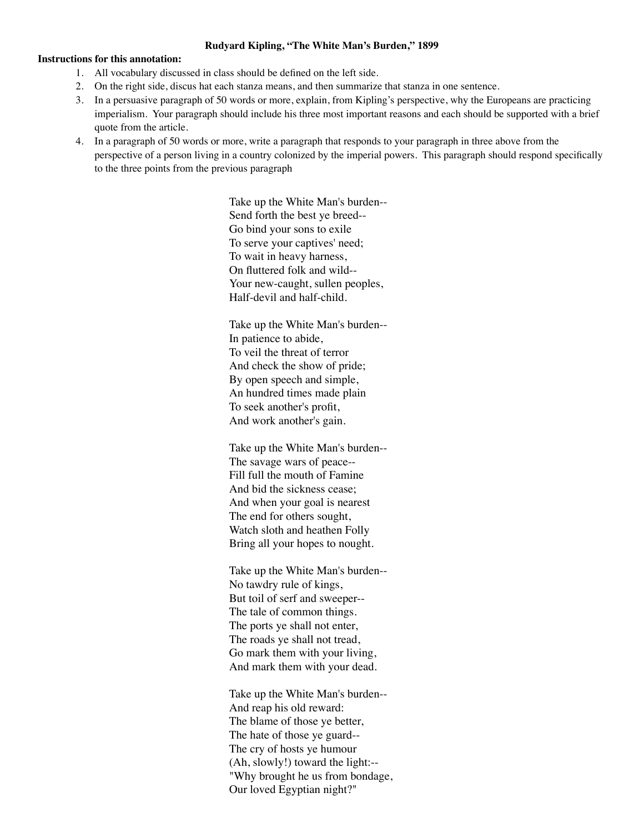## **Rudyard Kipling, "The White Man's Burden," 1899**

## **Instructions for this annotation:**

- 1. All vocabulary discussed in class should be defined on the left side.
- 2. On the right side, discus hat each stanza means, and then summarize that stanza in one sentence.
- 3. In a persuasive paragraph of 50 words or more, explain, from Kipling's perspective, why the Europeans are practicing imperialism. Your paragraph should include his three most important reasons and each should be supported with a brief quote from the article.
- 4. In a paragraph of 50 words or more, write a paragraph that responds to your paragraph in three above from the perspective of a person living in a country colonized by the imperial powers. This paragraph should respond specifically to the three points from the previous paragraph

Take up the White Man's burden-- Send forth the best ye breed-- Go bind your sons to exile To serve your captives' need; To wait in heavy harness, On fluttered folk and wild-- Your new-caught, sullen peoples, Half-devil and half-child.

Take up the White Man's burden-- In patience to abide, To veil the threat of terror And check the show of pride; By open speech and simple, An hundred times made plain To seek another's profit, And work another's gain.

Take up the White Man's burden-- The savage wars of peace-- Fill full the mouth of Famine And bid the sickness cease; And when your goal is nearest The end for others sought, Watch sloth and heathen Folly Bring all your hopes to nought.

Take up the White Man's burden-- No tawdry rule of kings, But toil of serf and sweeper-- The tale of common things. The ports ye shall not enter, The roads ye shall not tread, Go mark them with your living, And mark them with your dead.

Take up the White Man's burden-- And reap his old reward: The blame of those ye better, The hate of those ye guard-- The cry of hosts ye humour (Ah, slowly!) toward the light:-- "Why brought he us from bondage, Our loved Egyptian night?"